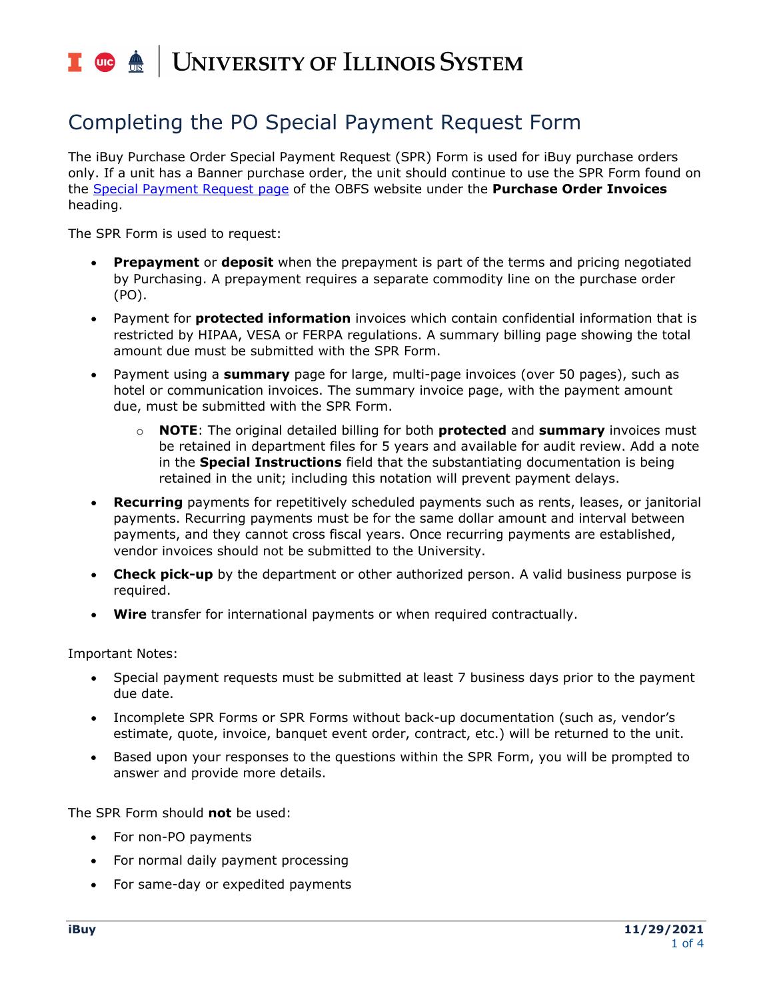# I **O**  $\triangle$  UNIVERSITY OF ILLINOIS SYSTEM

### Completing the PO Special Payment Request Form

 The iBuy Purchase Order Special Payment Request (SPR) Form is used for iBuy purchase orders only. If a unit has a Banner purchase order, the unit should continue to use the SPR Form found on the [Special Payment Request page](https://www.obfs.uillinois.edu/payments-vendors-students/special-payment-requests/) of the OBFS website under the **Purchase Order Invoices**  heading.

The SPR Form is used to request:

- • **Prepayment** or **deposit** when the prepayment is part of the terms and pricing negotiated by Purchasing. A prepayment requires a separate commodity line on the purchase order (PO).
- • Payment for **protected information** invoices which contain confidential information that is restricted by HIPAA, VESA or FERPA regulations. A summary billing page showing the total amount due must be submitted with the SPR Form.
- • Payment using a **summary** page for large, multi-page invoices (over 50 pages), such as hotel or communication invoices. The summary invoice page, with the payment amount due, must be submitted with the SPR Form.
	- o **NOTE**: The original detailed billing for both **protected** and **summary** invoices must be retained in department files for 5 years and available for audit review. Add a note in the **Special Instructions** field that the substantiating documentation is being retained in the unit; including this notation will prevent payment delays.
- • **Recurring** payments for repetitively scheduled payments such as rents, leases, or janitorial payments. Recurring payments must be for the same dollar amount and interval between payments, and they cannot cross fiscal years. Once recurring payments are established, vendor invoices should not be submitted to the University.
- • **Check pick-up** by the department or other authorized person. A valid business purpose is required.
- **Wire** transfer for international payments or when required contractually.

Important Notes:

- • Special payment requests must be submitted at least 7 business days prior to the payment due date.
- • Incomplete SPR Forms or SPR Forms without back-up documentation (such as, vendor's estimate, quote, invoice, banquet event order, contract, etc.) will be returned to the unit.
- • Based upon your responses to the questions within the SPR Form, you will be prompted to answer and provide more details.

The SPR Form should **not** be used:

- For non-PO payments
- For normal daily payment processing
- For same-day or expedited payments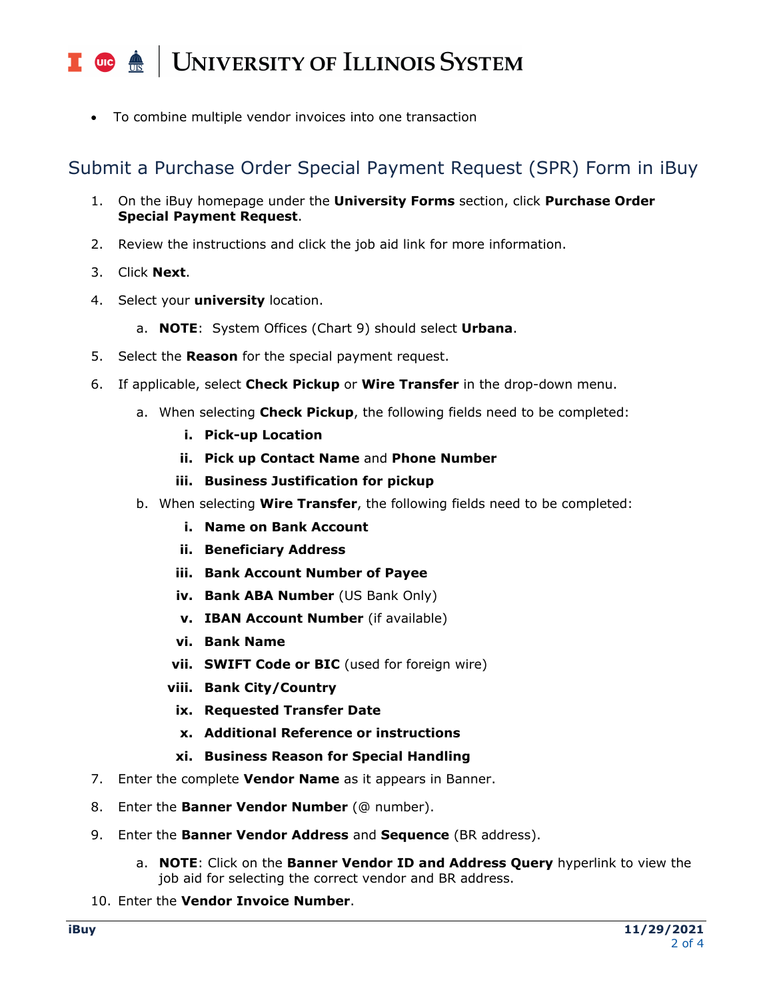## I **C**  $\triangle$  UNIVERSITY OF ILLINOIS SYSTEM

• To combine multiple vendor invoices into one transaction

#### Submit a Purchase Order Special Payment Request (SPR) Form in iBuy

- 1. On the iBuy homepage under the **University Forms** section, click **Purchase Order Special Payment Request**.
- 2. Review the instructions and click the job aid link for more information.
- 3. Click **Next**.
- 4. Select your **university** location.
	- a. **NOTE**: System Offices (Chart 9) should select **Urbana**.
- 5. Select the **Reason** for the special payment request.
- 6. If applicable, select **Check Pickup** or **Wire Transfer** in the drop-down menu.
	- a. When selecting **Check Pickup**, the following fields need to be completed:
		- **i. Pick-up Location**
		- **ii. Pick up Contact Name** and **Phone Number**
		- **iii. Business Justification for pickup**
	- b. When selecting **Wire Transfer**, the following fields need to be completed:
		- **i. Name on Bank Account**
		- **ii. Beneficiary Address**
		- **iii. Bank Account Number of Payee**
		- **iv.** Bank ABA Number (US Bank Only)
		- **v. IBAN Account Number** (if available)
		- **vi. Bank Name**
		- **vii. SWIFT Code or BIC** (used for foreign wire)
		- **viii. Bank City/Country**
		- **ix. Requested Transfer Date**
		- **x. Additional Reference or instructions**
		- **xi. Business Reason for Special Handling**
- 7. Enter the complete **Vendor Name** as it appears in Banner.
- 8. Enter the **Banner Vendor Number** (@ number).
- 9. Enter the **Banner Vendor Address** and **Sequence** (BR address).
	- a. **NOTE**: Click on the **Banner Vendor ID and Address Query** hyperlink to view the job aid for selecting the correct vendor and BR address.
- 10. Enter the **Vendor Invoice Number**.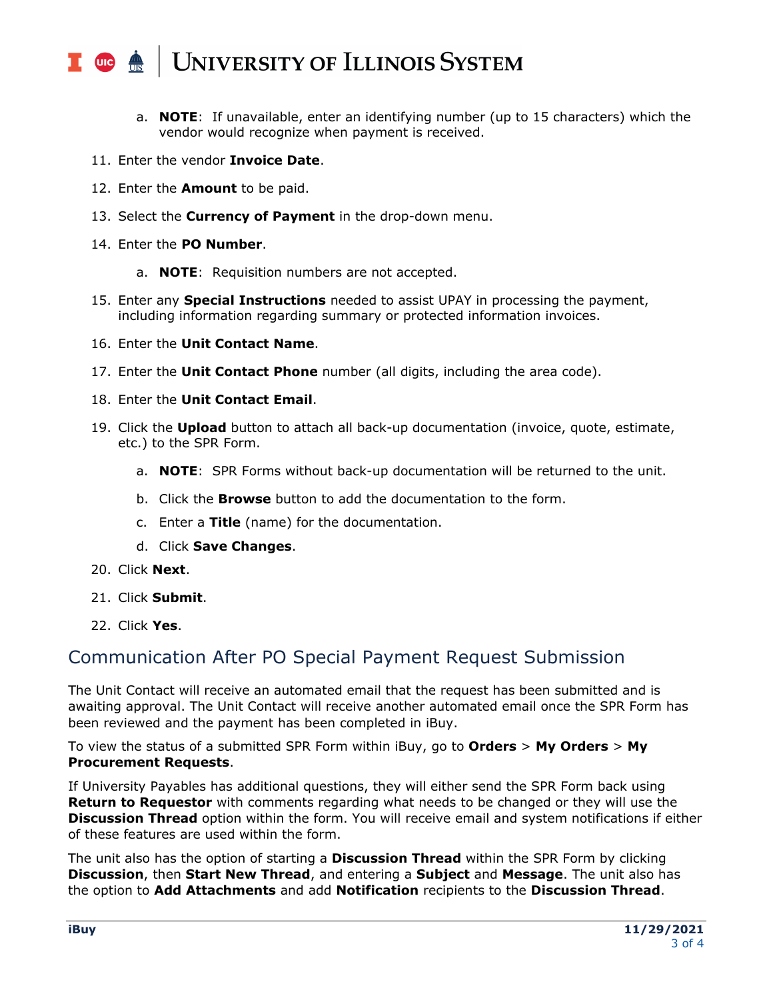### I **C**  $\triangle$  UNIVERSITY OF ILLINOIS SYSTEM

- a. **NOTE**: If unavailable, enter an identifying number (up to 15 characters) which the vendor would recognize when payment is received.
- 11. Enter the vendor **Invoice Date**.
- 12. Enter the **Amount** to be paid.
- 13. Select the **Currency of Payment** in the drop-down menu.
- 14. Enter the **PO Number**.
	- a. **NOTE**: Requisition numbers are not accepted.
- 15. Enter any **Special Instructions** needed to assist UPAY in processing the payment, including information regarding summary or protected information invoices.
- 16. Enter the **Unit Contact Name**.
- 17. Enter the **Unit Contact Phone** number (all digits, including the area code).
- 18. Enter the **Unit Contact Email**.
- 19. Click the **Upload** button to attach all back-up documentation (invoice, quote, estimate, etc.) to the SPR Form.
	- a. **NOTE**: SPR Forms without back-up documentation will be returned to the unit.
	- b. Click the **Browse** button to add the documentation to the form.
	- c. Enter a **Title** (name) for the documentation.
	- d. Click **Save Changes**.
- 20. Click **Next**.
- 21. Click **Submit**.
- 22. Click **Yes**.

#### Communication After PO Special Payment Request Submission

 The Unit Contact will receive an automated email that the request has been submitted and is awaiting approval. The Unit Contact will receive another automated email once the SPR Form has been reviewed and the payment has been completed in iBuy.

 To view the status of a submitted SPR Form within iBuy, go to **Orders** > **My Orders** > **My Procurement Requests**.

 If University Payables has additional questions, they will either send the SPR Form back using  **Return to Requestor** with comments regarding what needs to be changed or they will use the  **Discussion Thread** option within the form. You will receive email and system notifications if either of these features are used within the form.

 The unit also has the option of starting a **Discussion Thread** within the SPR Form by clicking  **Discussion**, then **Start New Thread**, and entering a **Subject** and **Message**. The unit also has the option to **Add Attachments** and add **Notification** recipients to the **Discussion Thread**.